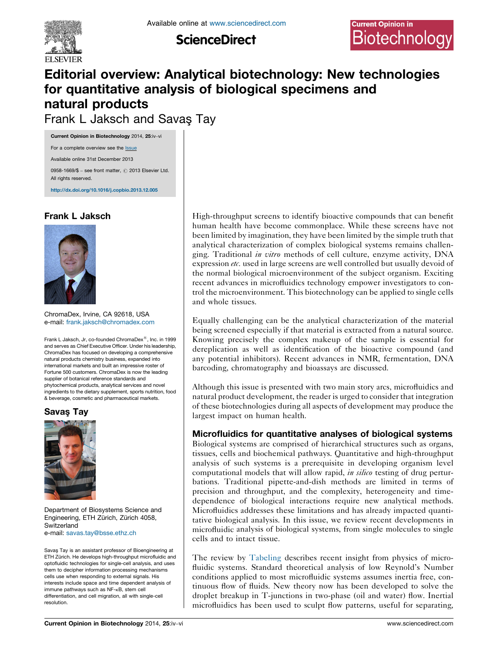

Available online at [www.sciencedirect.com](http://www.sciencedirect.com/science/journal/09581669)

**ScienceDirect** 



# Editorial overview: Analytical biotechnology: New technologies for quantitative analysis of biological specimens and natural products

Frank L Jaksch and Savas¸ Tay

Current Opinion in Biotechnology 2014, 25:iv–vi For a complete overview see the [Issue](http://www.sciencedirect.com/science/journal/09581669/25) Available online 31st December 2013 0958-1669/\$ – see front matter,  $\odot$  2013 Elsevier Ltd. All rights reserved. <http://dx.doi.org/10.1016/j.copbio.2013.12.005>

#### Frank L Jaksch



ChromaDex, Irvine, CA 92618, USA e-mail: [frank.jaksch@chromadex.com](mailto:frank.jaksch@chromadex.com)

Frank L Jaksch, Jr, co-founded ChromaDex<sup>®</sup>, Inc. in 1999 and serves as Chief Executive Officer. Under his leadership, ChromaDex has focused on developing a comprehensive natural products chemistry business, expanded into international markets and built an impressive roster of Fortune 500 customers. ChromaDex is now the leading supplier of botanical reference standards and phytochemical products, analytical services and novel ingredients to the dietary supplement, sports nutrition, food & beverage, cosmetic and pharmaceutical markets.

## Savas¸ Tay



Department of Biosystems Science and Engineering, ETH Zürich, Zürich 4058, **Switzerland** e-mail: [savas.tay@bsse.ethz.ch](mailto:savas.tay@bsse.ethz.ch)

Savas Tay is an assistant professor of Bioengineering at ETH Zürich. He develops high-throughput microfluidic and optofluidic technologies for single-cell analysis, and uses them to decipher information processing mechanisms cells use when responding to external signals. His interests include space and time dependent analysis of immune pathways such as NF-kB, stem cell differentiation, and cell migration, all with single-cell resolution.

High-throughput screens to identify bioactive compounds that can benefit human health have become commonplace. While these screens have not been limited by imagination, they have been limited by the simple truth that analytical characterization of complex biological systems remains challenging. Traditional in vitro methods of cell culture, enzyme activity, DNA expression etc. used in large screens are well controlled but usually devoid of the normal biological microenvironment of the subject organism. Exciting recent advances in microfluidics technology empower investigators to control the microenvironment. This biotechnology can be applied to single cells and whole tissues.

Equally challenging can be the analytical characterization of the material being screened especially if that material is extracted from a natural source. Knowing precisely the complex makeup of the sample is essential for dereplication as well as identification of the bioactive compound (and any potential inhibitors). Recent advances in NMR, fermentation, DNA barcoding, chromatography and bioassays are discussed.

Although this issue is presented with two main story arcs, microfluidics and natural product development, the reader is urged to consider that integration of these biotechnologies during all aspects of development may produce the largest impact on human health.

## Microfluidics for quantitative analyses of biological systems

Biological systems are comprised of hierarchical structures such as organs, tissues, cells and biochemical pathways. Quantitative and high-throughput analysis of such systems is a prerequisite in developing organism level computational models that will allow rapid, *in silico* testing of drug perturbations. Traditional pipette-and-dish methods are limited in terms of precision and throughput, and the complexity, heterogeneity and timedependence of biological interactions require new analytical methods. Microfluidics addresses these limitations and has already impacted quantitative biological analysis. In this issue, we review recent developments in microfluidic analysis of biological systems, from single molecules to single cells and to intact tissue.

The review by [Tabeling](http://dx.doi.org/10.1016/j.copbio.2013.11.009) describes recent insight from physics of microfluidic systems. Standard theoretical analysis of low Reynold's Number conditions applied to most microfluidic systems assumes inertia free, continuous flow of fluids. New theory now has been developed to solve the droplet breakup in T-junctions in two-phase (oil and water) flow. Inertial microfluidics has been used to sculpt flow patterns, useful for separating,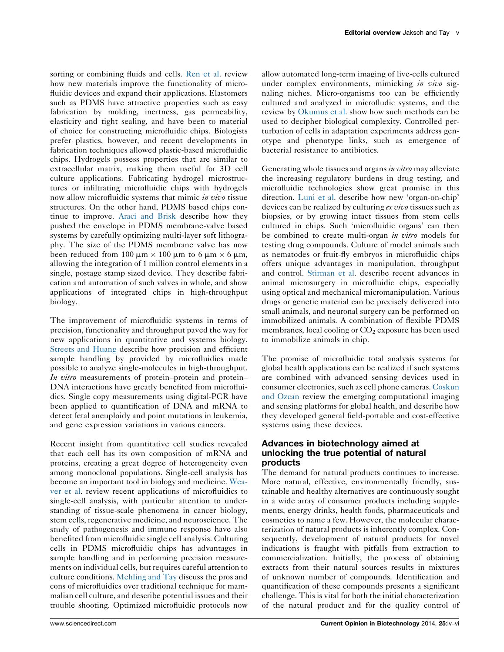sorting or combining fluids and cells. [Ren](http://dx.doi.org/10.1016/j.copbio.2013.09.004) et al. review how new materials improve the functionality of microfluidic devices and expand their applications. Elastomers such as PDMS have attractive properties such as easy fabrication by molding, inertness, gas permeability, elasticity and tight sealing, and have been to material of choice for constructing microfluidic chips. Biologists prefer plastics, however, and recent developments in fabrication techniques allowed plastic-based microfluidic chips. Hydrogels possess properties that are similar to extracellular matrix, making them useful for 3D cell culture applications. Fabricating hydrogel microstructures or infiltrating microfluidic chips with hydrogels now allow microfluidic systems that mimic in vivo tissue structures. On the other hand, PDMS based chips continue to improve. Araci and [Brisk](http://dx.doi.org/10.1016/j.copbio.2013.08.014) describe how they pushed the envelope in PDMS membrane-valve based systems by carefully optimizing multi-layer soft lithography. The size of the PDMS membrane valve has now been reduced from 100  $\mu$ m  $\times$  100  $\mu$ m to 6  $\mu$ m  $\times$  6  $\mu$ m, allowing the integration of 1 million control elements in a single, postage stamp sized device. They describe fabrication and automation of such valves in whole, and show applications of integrated chips in high-throughput biology.

The improvement of microfluidic systems in terms of precision, functionality and throughput paved the way for new applications in quantitative and systems biology. [Streets](http://dx.doi.org/10.1016/j.copbio.2013.08.013) and Huang describe how precision and efficient sample handling by provided by microfluidics made possible to analyze single-molecules in high-throughput. In vitro measurements of protein–protein and protein– DNA interactions have greatly benefited from microfluidics. Single copy measurements using digital-PCR have been applied to quantification of DNA and mRNA to detect fetal aneuploidy and point mutations in leukemia, and gene expression variations in various cancers.

Recent insight from quantitative cell studies revealed that each cell has its own composition of mRNA and proteins, creating a great degree of heterogeneity even among monoclonal populations. Single-cell analysis has become an important tool in biology and medicine. [Wea](http://dx.doi.org/10.1016/j.copbio.2013.09.005)[ver](http://dx.doi.org/10.1016/j.copbio.2013.09.005) et al. review recent applications of microfluidics to single-cell analysis, with particular attention to understanding of tissue-scale phenomena in cancer biology, stem cells, regenerative medicine, and neuroscience. The study of pathogenesis and immune response have also benefited from microfluidic single cell analysis. Culturing cells in PDMS microfluidic chips has advantages in sample handling and in performing precision measurements on individual cells, but requires careful attention to culture conditions. [Mehling](http://dx.doi.org/10.1016/j.copbio.2013.10.005) and Tay discuss the pros and cons of microfluidics over traditional technique for mammalian cell culture, and describe potential issues and their trouble shooting. Optimized microfluidic protocols now

allow automated long-term imaging of live-cells cultured under complex environments, mimicking in vivo signaling niches. Micro-organisms too can be efficiently cultured and analyzed in microfludic systems, and the review by [Okumus](http://dx.doi.org/10.1016/j.copbio.2013.08.016) et al. show how such methods can be used to decipher biological complexity. Controlled perturbation of cells in adaptation experiments address genotype and phenotype links, such as emergence of bacterial resistance to antibiotics.

Generating whole tissues and organs *in vitro* may alleviate the increasing regulatory burdens in drug testing, and microfluidic technologies show great promise in this direction. [Luni](http://dx.doi.org/10.1016/j.copbio.2013.08.015) et al. describe how new 'organ-on-chip' devices can be realized by culturing ex vivo tissues such as biopsies, or by growing intact tissues from stem cells cultured in chips. Such 'microfluidic organs' can then be combined to create multi-organ in vitro models for testing drug compounds. Culture of model animals such as nematodes or fruit-fly embryos in microfluidic chips offers unique advantages in manipulation, throughput and control. [Stirman](http://dx.doi.org/10.1016/j.copbio.2013.08.007) et al. describe recent advances in animal microsurgery in microfluidic chips, especially using optical and mechanical micromanipulation. Various drugs or genetic material can be precisely delivered into small animals, and neuronal surgery can be performed on immobilized animals. A combination of flexible PDMS membranes, local cooling or  $CO<sub>2</sub>$  exposure has been used to immobilize animals in chip.

The promise of microfluidic total analysis systems for global health applications can be realized if such systems are combined with advanced sensing devices used in consumer electronics, such as cell phone cameras. [Coskun](http://dx.doi.org/10.1016/j.copbio.2013.08.008) and [Ozcan](http://dx.doi.org/10.1016/j.copbio.2013.08.008) review the emerging computational imaging and sensing platforms for global health, and describe how they developed general field-portable and cost-effective systems using these devices.

#### Advances in biotechnology aimed at unlocking the true potential of natural products

The demand for natural products continues to increase. More natural, effective, environmentally friendly, sustainable and healthy alternatives are continuously sought in a wide array of consumer products including supplements, energy drinks, health foods, pharmaceuticals and cosmetics to name a few. However, the molecular characterization of natural products is inherently complex. Consequently, development of natural products for novel indications is fraught with pitfalls from extraction to commercialization. Initially, the process of obtaining extracts from their natural sources results in mixtures of unknown number of compounds. Identification and quantification of these compounds presents a significant challenge. This is vital for both the initial characterization of the natural product and for the quality control of